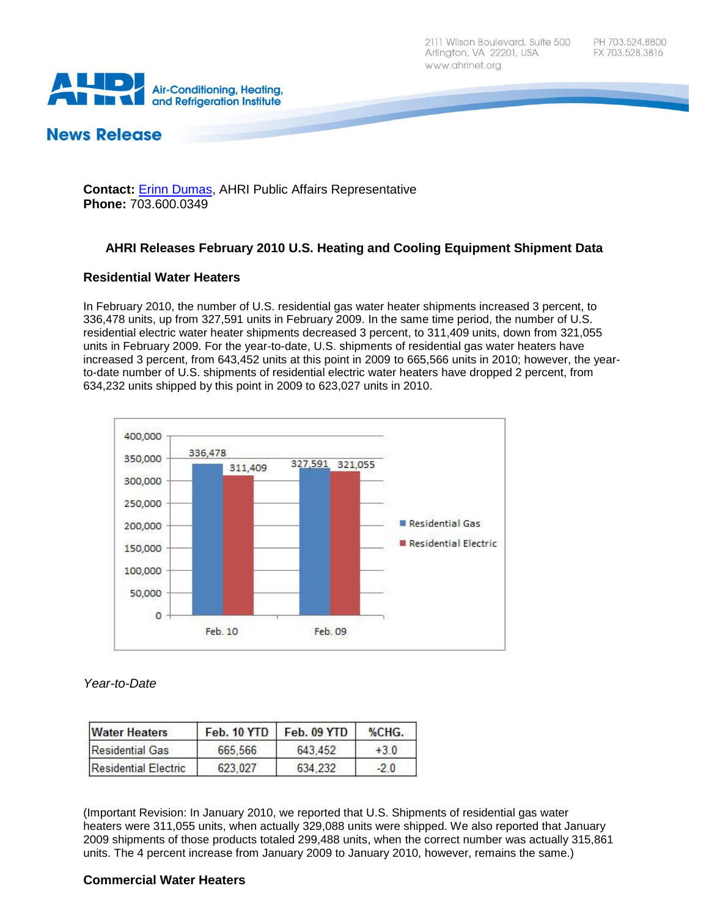**Air-Conditioning, Heating,** and Refrigeration Institute

# **News Release**

**Contact:** [Erinn Dumas,](mailto:edumas@ahrinet.org) AHRI Public Affairs Representative **Phone:** 703.600.0349

# **AHRI Releases February 2010 U.S. Heating and Cooling Equipment Shipment Data**

## **Residential Water Heaters**

In February 2010, the number of U.S. residential gas water heater shipments increased 3 percent, to 336,478 units, up from 327,591 units in February 2009. In the same time period, the number of U.S. residential electric water heater shipments decreased 3 percent, to 311,409 units, down from 321,055 units in February 2009. For the year-to-date, U.S. shipments of residential gas water heaters have increased 3 percent, from 643,452 units at this point in 2009 to 665,566 units in 2010; however, the yearto-date number of U.S. shipments of residential electric water heaters have dropped 2 percent, from 634,232 units shipped by this point in 2009 to 623,027 units in 2010.



*Year-to-Date*

| <b>Water Heaters</b>   | Feb. 10 YTD | Feb. 09 YTD | %CHG. |
|------------------------|-------------|-------------|-------|
| <b>Residential Gas</b> | 665.566     | 643 452     | $+30$ |
| Residential Electric   | 623,027     | 634, 232    | $-20$ |

(Important Revision: In January 2010, we reported that U.S. Shipments of residential gas water heaters were 311,055 units, when actually 329,088 units were shipped. We also reported that January 2009 shipments of those products totaled 299,488 units, when the correct number was actually 315,861 units. The 4 percent increase from January 2009 to January 2010, however, remains the same.)

# **Commercial Water Heaters**

PH 703.524.8800 FX 703.528.3816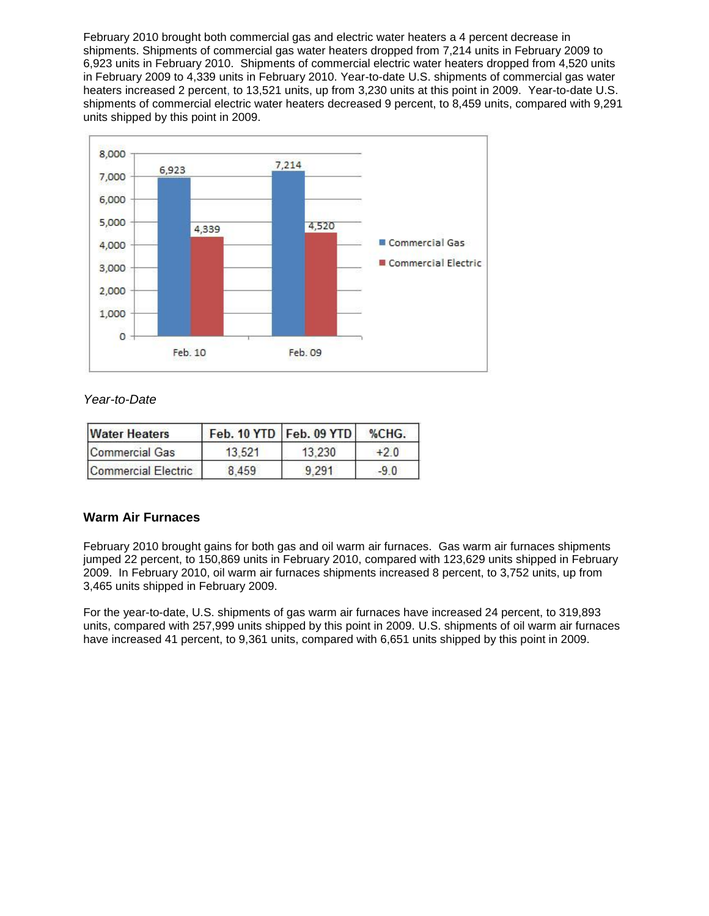February 2010 brought both commercial gas and electric water heaters a 4 percent decrease in shipments. Shipments of commercial gas water heaters dropped from 7,214 units in February 2009 to 6,923 units in February 2010. Shipments of commercial electric water heaters dropped from 4,520 units in February 2009 to 4,339 units in February 2010. Year-to-date U.S. shipments of commercial gas water heaters increased 2 percent, to 13,521 units, up from 3,230 units at this point in 2009. Year-to-date U.S. shipments of commercial electric water heaters decreased 9 percent, to 8,459 units, compared with 9,291 units shipped by this point in 2009.



# *Year-to-Date*

| <b>Water Heaters</b> |        | Feb. 10 YTD   Feb. 09 YTD | $\%CHG.$ |
|----------------------|--------|---------------------------|----------|
| Commercial Gas       | 13.521 | 13.230                    | $+20$    |
| Commercial Electric  | 8459   | 9 2 9 1                   | $-90$    |

# **Warm Air Furnaces**

February 2010 brought gains for both gas and oil warm air furnaces. Gas warm air furnaces shipments jumped 22 percent, to 150,869 units in February 2010, compared with 123,629 units shipped in February 2009. In February 2010, oil warm air furnaces shipments increased 8 percent, to 3,752 units, up from 3,465 units shipped in February 2009.

For the year-to-date, U.S. shipments of gas warm air furnaces have increased 24 percent, to 319,893 units, compared with 257,999 units shipped by this point in 2009. U.S. shipments of oil warm air furnaces have increased 41 percent, to 9,361 units, compared with 6,651 units shipped by this point in 2009.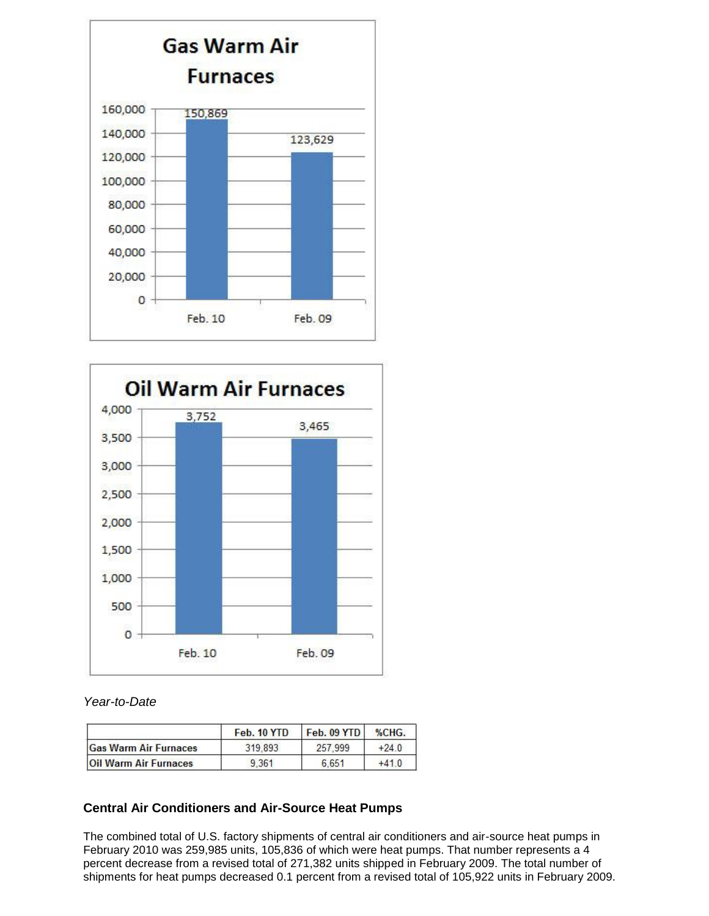



## *Year-to-Date*

|                              | Feb. 10 YTD | Feb. 09 YTD | %CHG.   |
|------------------------------|-------------|-------------|---------|
| <b>Gas Warm Air Furnaces</b> | 319.893     | 257.999     | $+24.0$ |
| <b>Oil Warm Air Furnaces</b> | 9.361       | 6.651       | $+410$  |

# **Central Air Conditioners and Air-Source Heat Pumps**

The combined total of U.S. factory shipments of central air conditioners and air-source heat pumps in February 2010 was 259,985 units, 105,836 of which were heat pumps. That number represents a 4 percent decrease from a revised total of 271,382 units shipped in February 2009. The total number of shipments for heat pumps decreased 0.1 percent from a revised total of 105,922 units in February 2009.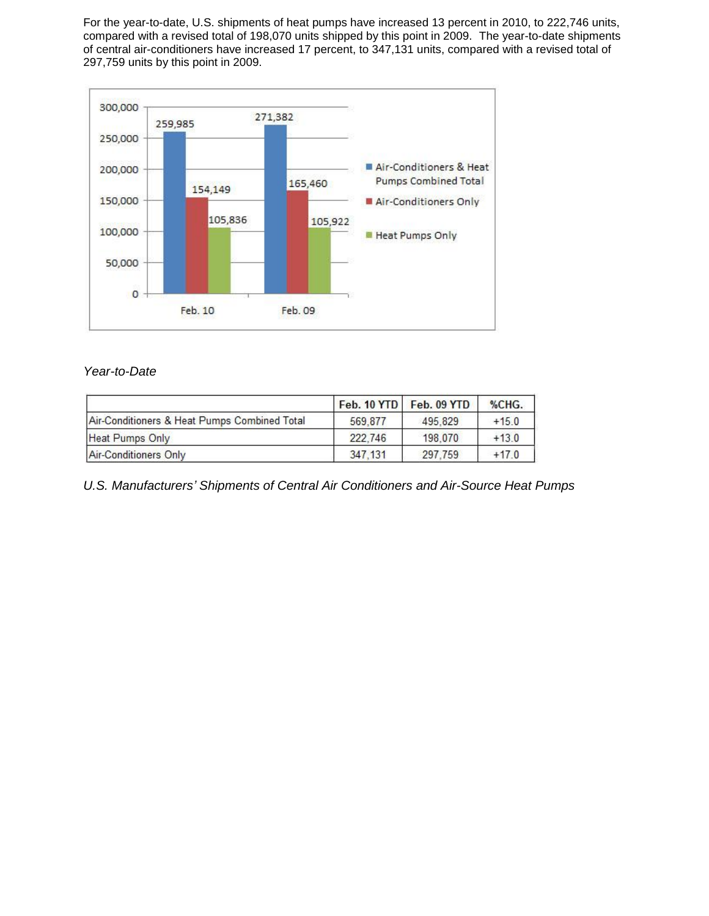For the year-to-date, U.S. shipments of heat pumps have increased 13 percent in 2010, to 222,746 units, compared with a revised total of 198,070 units shipped by this point in 2009. The year-to-date shipments of central air-conditioners have increased 17 percent, to 347,131 units, compared with a revised total of 297,759 units by this point in 2009.



# *Year-to-Date*

|                                              |          | Feb. 10 YTD   Feb. 09 YTD | %CHG.   |
|----------------------------------------------|----------|---------------------------|---------|
| Air-Conditioners & Heat Pumps Combined Total | 569.877  | 495.829                   | $+15.0$ |
| Heat Pumps Only                              | 222,746  | 198,070                   | $+13.0$ |
| <b>Air-Conditioners Only</b>                 | 347, 131 | 297,759                   | $+17.0$ |

*U.S. Manufacturers' Shipments of Central Air Conditioners and Air-Source Heat Pumps*